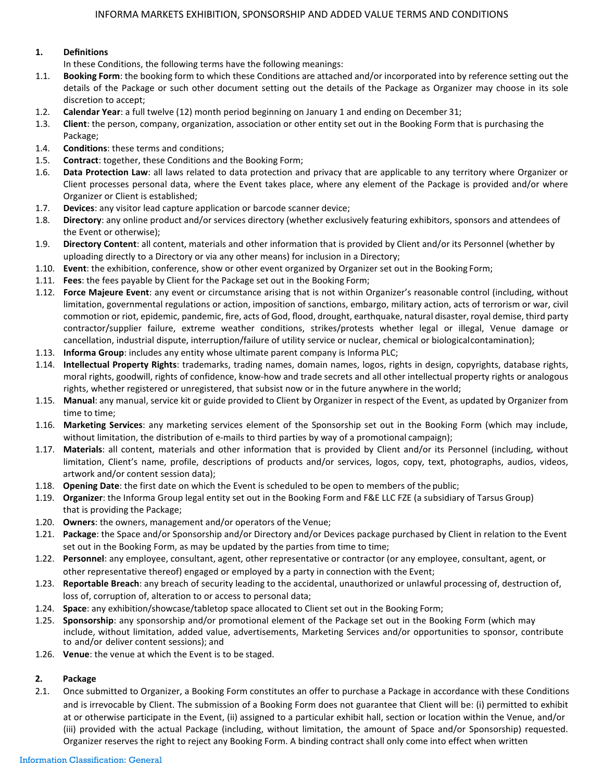### **1. Definitions**

In these Conditions, the following terms have the following meanings:

- 1.1. **Booking Form**: the booking form to which these Conditions are attached and/or incorporated into by reference setting out the details of the Package or such other document setting out the details of the Package as Organizer may choose in its sole discretion to accept;
- 1.2. **Calendar Year**: a full twelve (12) month period beginning on January 1 and ending on December 31;
- 1.3. **Client**: the person, company, organization, association or other entity set out in the Booking Form that is purchasing the Package;
- 1.4. **Conditions**: these terms and conditions;
- 1.5. **Contract**: together, these Conditions and the Booking Form;
- 1.6. **Data Protection Law**: all laws related to data protection and privacy that are applicable to any territory where Organizer or Client processes personal data, where the Event takes place, where any element of the Package is provided and/or where Organizer or Client is established;
- 1.7. **Devices**: any visitor lead capture application or barcode scanner device;
- 1.8. **Directory**: any online product and/or services directory (whether exclusively featuring exhibitors, sponsors and attendees of the Event or otherwise);
- 1.9. **Directory Content**: all content, materials and other information that is provided by Client and/or its Personnel (whether by uploading directly to a Directory or via any other means) for inclusion in a Directory;
- 1.10. **Event**: the exhibition, conference, show or other event organized by Organizer set out in the Booking Form;
- 1.11. **Fees**: the fees payable by Client for the Package set out in the Booking Form;
- 1.12. **Force Majeure Event**: any event or circumstance arising that is not within Organizer's reasonable control (including, without limitation, governmental regulations or action, imposition of sanctions, embargo, military action, acts of terrorism or war, civil commotion or riot, epidemic, pandemic, fire, acts of God, flood, drought, earthquake, natural disaster, royal demise, third party contractor/supplier failure, extreme weather conditions, strikes/protests whether legal or illegal, Venue damage or cancellation, industrial dispute, interruption/failure of utility service or nuclear, chemical or biologicalcontamination);
- 1.13. **Informa Group**: includes any entity whose ultimate parent company is Informa PLC;
- 1.14. **Intellectual Property Rights**: trademarks, trading names, domain names, logos, rights in design, copyrights, database rights, moral rights, goodwill, rights of confidence, know-how and trade secrets and all other intellectual property rights or analogous rights, whether registered or unregistered, that subsist now or in the future anywhere in the world;
- 1.15. **Manual**: any manual, service kit or guide provided to Client by Organizer in respect of the Event, as updated by Organizer from time to time;
- 1.16. **Marketing Services**: any marketing services element of the Sponsorship set out in the Booking Form (which may include, without limitation, the distribution of e-mails to third parties by way of a promotional campaign);
- 1.17. **Materials**: all content, materials and other information that is provided by Client and/or its Personnel (including, without limitation, Client's name, profile, descriptions of products and/or services, logos, copy, text, photographs, audios, videos, artwork and/or content session data);
- 1.18. **Opening Date**: the first date on which the Event is scheduled to be open to members of the public;
- 1.19. **Organizer**: the Informa Group legal entity set out in the Booking Form and F&E LLC FZE (a subsidiary of Tarsus Group) that is providing the Package;
- 1.20. **Owners**: the owners, management and/or operators of the Venue;
- 1.21. **Package**: the Space and/or Sponsorship and/or Directory and/or Devices package purchased by Client in relation to the Event set out in the Booking Form, as may be updated by the parties from time to time;
- 1.22. **Personnel**: any employee, consultant, agent, other representative or contractor (or any employee, consultant, agent, or other representative thereof) engaged or employed by a party in connection with the Event;
- 1.23. **Reportable Breach**: any breach of security leading to the accidental, unauthorized or unlawful processing of, destruction of, loss of, corruption of, alteration to or access to personal data;
- 1.24. **Space**: any exhibition/showcase/tabletop space allocated to Client set out in the Booking Form;
- 1.25. **Sponsorship**: any sponsorship and/or promotional element of the Package set out in the Booking Form (which may include, without limitation, added value, advertisements, Marketing Services and/or opportunities to sponsor, contribute to and/or deliver content sessions); and
- 1.26. **Venue**: the venue at which the Event is to be staged.

### **2. Package**

2.1. Once submitted to Organizer, a Booking Form constitutes an offer to purchase a Package in accordance with these Conditions and is irrevocable by Client. The submission of a Booking Form does not guarantee that Client will be: (i) permitted to exhibit at or otherwise participate in the Event, (ii) assigned to a particular exhibit hall, section or location within the Venue, and/or (iii) provided with the actual Package (including, without limitation, the amount of Space and/or Sponsorship) requested. Organizer reserves the right to reject any Booking Form. A binding contract shall only come into effect when written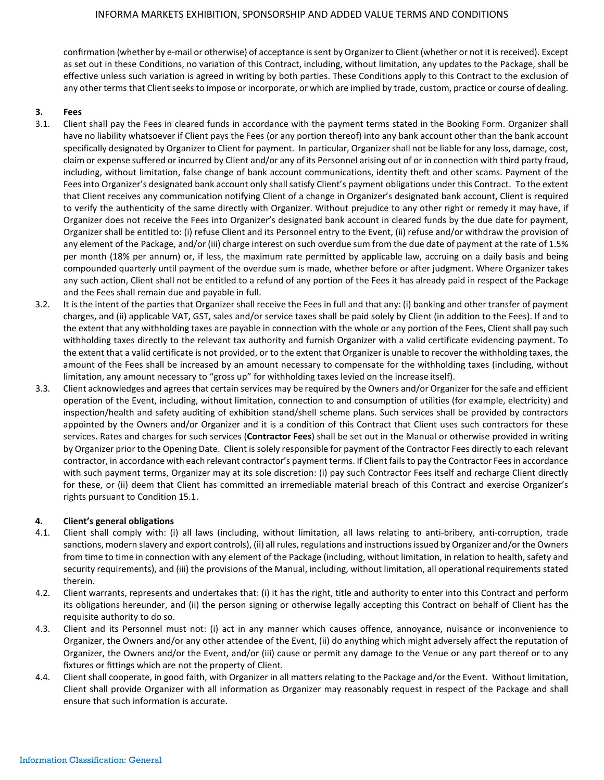confirmation (whether by e-mail or otherwise) of acceptance is sent by Organizer to Client (whether or not it is received). Except as set out in these Conditions, no variation of this Contract, including, without limitation, any updates to the Package, shall be effective unless such variation is agreed in writing by both parties. These Conditions apply to this Contract to the exclusion of any other terms that Client seeks to impose or incorporate, or which are implied by trade, custom, practice or course of dealing.

# **3. Fees**

- 3.1. Client shall pay the Fees in cleared funds in accordance with the payment terms stated in the Booking Form. Organizer shall have no liability whatsoever if Client pays the Fees (or any portion thereof) into any bank account other than the bank account specifically designated by Organizer to Client for payment. In particular, Organizershall not be liable for any loss, damage, cost, claim or expense suffered or incurred by Client and/or any of its Personnel arising out of or in connection with third party fraud, including, without limitation, false change of bank account communications, identity theft and other scams. Payment of the Fees into Organizer's designated bank account only shallsatisfy Client's payment obligations under this Contract. To the extent that Client receives any communication notifying Client of a change in Organizer's designated bank account, Client is required to verify the authenticity of the same directly with Organizer. Without prejudice to any other right or remedy it may have, if Organizer does not receive the Fees into Organizer's designated bank account in cleared funds by the due date for payment, Organizer shall be entitled to: (i) refuse Client and its Personnel entry to the Event, (ii) refuse and/or withdraw the provision of any element of the Package, and/or (iii) charge interest on such overdue sum from the due date of payment at the rate of 1.5% per month (18% per annum) or, if less, the maximum rate permitted by applicable law, accruing on a daily basis and being compounded quarterly until payment of the overdue sum is made, whether before or after judgment. Where Organizer takes any such action, Client shall not be entitled to a refund of any portion of the Fees it has already paid in respect of the Package and the Fees shall remain due and payable in full.
- 3.2. It is the intent of the parties that Organizer shall receive the Fees in full and that any: (i) banking and other transfer of payment charges, and (ii) applicable VAT, GST, sales and/or service taxes shall be paid solely by Client (in addition to the Fees). If and to the extent that any withholding taxes are payable in connection with the whole or any portion of the Fees, Client shall pay such withholding taxes directly to the relevant tax authority and furnish Organizer with a valid certificate evidencing payment. To the extent that a valid certificate is not provided, or to the extent that Organizer is unable to recover the withholding taxes, the amount of the Fees shall be increased by an amount necessary to compensate for the withholding taxes (including, without limitation, any amount necessary to "gross up" for withholding taxes levied on the increase itself).
- 3.3. Client acknowledges and agrees that certain services may be required by the Owners and/or Organizer for the safe and efficient operation of the Event, including, without limitation, connection to and consumption of utilities (for example, electricity) and inspection/health and safety auditing of exhibition stand/shell scheme plans. Such services shall be provided by contractors appointed by the Owners and/or Organizer and it is a condition of this Contract that Client uses such contractors for these services. Rates and charges for such services (**Contractor Fees**) shall be set out in the Manual or otherwise provided in writing by Organizer prior to the Opening Date. Client is solely responsible for payment of the Contractor Fees directly to each relevant contractor, in accordance with each relevant contractor's payment terms. If Client fails to pay the Contractor Fees in accordance with such payment terms, Organizer may at its sole discretion: (i) pay such Contractor Fees itself and recharge Client directly for these, or (ii) deem that Client has committed an irremediable material breach of this Contract and exercise Organizer's rights pursuant to Condition 15.1.

### **4. Client's general obligations**

- 4.1. Client shall comply with: (i) all laws (including, without limitation, all laws relating to anti-bribery, anti-corruption, trade sanctions, modern slavery and export controls), (ii) all rules, regulations and instructionsissued by Organizer and/or the Owners from time to time in connection with any element of the Package (including, without limitation, in relation to health, safety and security requirements), and (iii) the provisions of the Manual, including, without limitation, all operational requirements stated therein.
- 4.2. Client warrants, represents and undertakes that: (i) it has the right, title and authority to enter into this Contract and perform its obligations hereunder, and (ii) the person signing or otherwise legally accepting this Contract on behalf of Client has the requisite authority to do so.
- 4.3. Client and its Personnel must not: (i) act in any manner which causes offence, annoyance, nuisance or inconvenience to Organizer, the Owners and/or any other attendee of the Event, (ii) do anything which might adversely affect the reputation of Organizer, the Owners and/or the Event, and/or (iii) cause or permit any damage to the Venue or any part thereof or to any fixtures or fittings which are not the property of Client.
- 4.4. Client shall cooperate, in good faith, with Organizer in all matters relating to the Package and/or the Event. Without limitation, Client shall provide Organizer with all information as Organizer may reasonably request in respect of the Package and shall ensure that such information is accurate.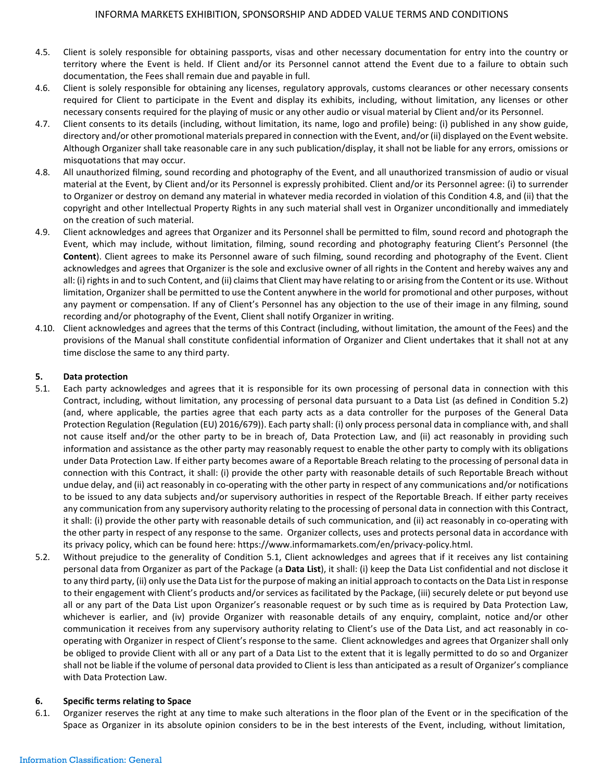- 4.5. Client is solely responsible for obtaining passports, visas and other necessary documentation for entry into the country or territory where the Event is held. If Client and/or its Personnel cannot attend the Event due to a failure to obtain such documentation, the Fees shall remain due and payable in full.
- 4.6. Client is solely responsible for obtaining any licenses, regulatory approvals, customs clearances or other necessary consents required for Client to participate in the Event and display its exhibits, including, without limitation, any licenses or other necessary consents required for the playing of music or any other audio or visual material by Client and/or its Personnel.
- 4.7. Client consents to its details (including, without limitation, its name, logo and profile) being: (i) published in any show guide, directory and/or other promotional materials prepared in connection with the Event, and/or (ii) displayed on the Event website. Although Organizer shall take reasonable care in any such publication/display, it shall not be liable for any errors, omissions or misquotations that may occur.
- 4.8. All unauthorized filming, sound recording and photography of the Event, and all unauthorized transmission of audio or visual material at the Event, by Client and/or its Personnel is expressly prohibited. Client and/or its Personnel agree: (i) to surrender to Organizer or destroy on demand any material in whatever media recorded in violation of this Condition 4.8, and (ii) that the copyright and other Intellectual Property Rights in any such material shall vest in Organizer unconditionally and immediately on the creation of such material.
- 4.9. Client acknowledges and agrees that Organizer and its Personnel shall be permitted to film, sound record and photograph the Event, which may include, without limitation, filming, sound recording and photography featuring Client's Personnel (the **Content**). Client agrees to make its Personnel aware of such filming, sound recording and photography of the Event. Client acknowledges and agrees that Organizer is the sole and exclusive owner of all rights in the Content and hereby waives any and all: (i) rights in and to such Content, and (ii) claims that Client may have relating to or arising from the Content or its use. Without limitation, Organizer shall be permitted to use the Content anywhere in the world for promotional and other purposes, without any payment or compensation. If any of Client's Personnel has any objection to the use of their image in any filming, sound recording and/or photography of the Event, Client shall notify Organizer in writing.
- 4.10. Client acknowledges and agrees that the terms of this Contract (including, without limitation, the amount of the Fees) and the provisions of the Manual shall constitute confidential information of Organizer and Client undertakes that it shall not at any time disclose the same to any third party.

# **5. Data protection**

- 5.1. Each party acknowledges and agrees that it is responsible for its own processing of personal data in connection with this Contract, including, without limitation, any processing of personal data pursuant to a Data List (as defined in Condition 5.2) (and, where applicable, the parties agree that each party acts as a data controller for the purposes of the General Data Protection Regulation (Regulation (EU) 2016/679)). Each party shall: (i) only process personal data in compliance with, and shall not cause itself and/or the other party to be in breach of, Data Protection Law, and (ii) act reasonably in providing such information and assistance as the other party may reasonably request to enable the other party to comply with its obligations under Data Protection Law. If either party becomes aware of a Reportable Breach relating to the processing of personal data in connection with this Contract, it shall: (i) provide the other party with reasonable details of such Reportable Breach without undue delay, and (ii) act reasonably in co-operating with the other party in respect of any communications and/or notifications to be issued to any data subjects and/or supervisory authorities in respect of the Reportable Breach. If either party receives any communication from any supervisory authority relating to the processing of personal data in connection with this Contract, it shall: (i) provide the other party with reasonable details of such communication, and (ii) act reasonably in co-operating with the other party in respect of any response to the same. Organizer collects, uses and protects personal data in accordance with its privacy policy, which can be found here: [https://www.informamarkets.com/en/privacy-policy.html.](https://www.informamarkets.com/en/privacy-policy.html)
- 5.2. Without prejudice to the generality of Condition 5.1, Client acknowledges and agrees that if it receives any list containing personal data from Organizer as part of the Package (a **Data List**), it shall: (i) keep the Data List confidential and not disclose it to any third party, (ii) only use the Data List for the purpose of making an initial approach to contacts on the Data List in response to their engagement with Client's products and/or services as facilitated by the Package, (iii) securely delete or put beyond use all or any part of the Data List upon Organizer's reasonable request or by such time as is required by Data Protection Law, whichever is earlier, and (iv) provide Organizer with reasonable details of any enquiry, complaint, notice and/or other communication it receives from any supervisory authority relating to Client's use of the Data List, and act reasonably in cooperating with Organizer in respect of Client's response to the same. Client acknowledges and agrees that Organizer shall only be obliged to provide Client with all or any part of a Data List to the extent that it is legally permitted to do so and Organizer shall not be liable if the volume of personal data provided to Client is less than anticipated as a result of Organizer's compliance with Data Protection Law.

### **6. Specific terms relating to Space**

6.1. Organizer reserves the right at any time to make such alterations in the floor plan of the Event or in the specification of the Space as Organizer in its absolute opinion considers to be in the best interests of the Event, including, without limitation,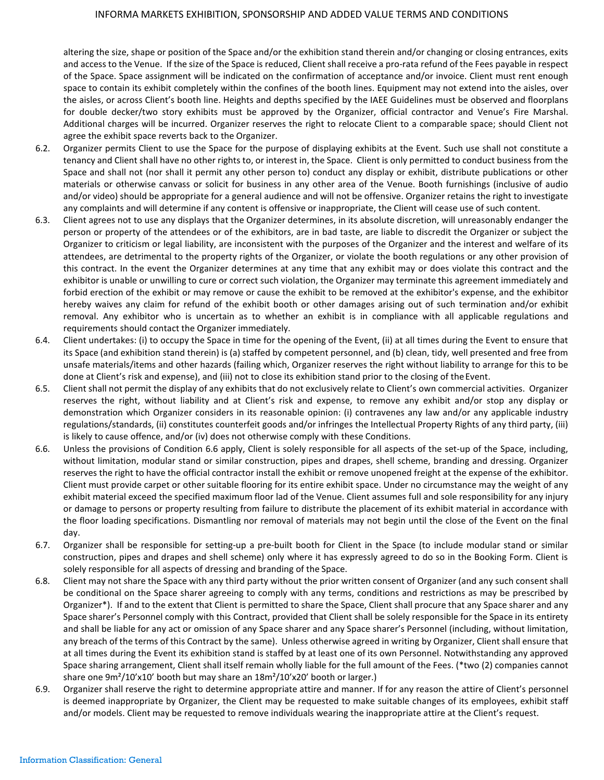altering the size, shape or position of the Space and/or the exhibition stand therein and/or changing or closing entrances, exits and access to the Venue. If the size of the Space is reduced, Client shall receive a pro-rata refund of the Fees payable in respect of the Space. Space assignment will be indicated on the confirmation of acceptance and/or invoice. Client must rent enough space to contain its exhibit completely within the confines of the booth lines. Equipment may not extend into the aisles, over the aisles, or across Client's booth line. Heights and depths specified by the IAEE Guidelines must be observed and floorplans for double decker/two story exhibits must be approved by the Organizer, official contractor and Venue's Fire Marshal. Additional charges will be incurred. Organizer reserves the right to relocate Client to a comparable space; should Client not agree the exhibit space reverts back to the Organizer.

- 6.2. Organizer permits Client to use the Space for the purpose of displaying exhibits at the Event. Such use shall not constitute a tenancy and Client shall have no other rights to, or interest in, the Space. Client is only permitted to conduct business from the Space and shall not (nor shall it permit any other person to) conduct any display or exhibit, distribute publications or other materials or otherwise canvass or solicit for business in any other area of the Venue. Booth furnishings (inclusive of audio and/or video) should be appropriate for a general audience and will not be offensive. Organizer retains the right to investigate any complaints and will determine if any content is offensive or inappropriate, the Client will cease use of such content.
- 6.3. Client agrees not to use any displays that the Organizer determines, in its absolute discretion, will unreasonably endanger the person or property of the attendees or of the exhibitors, are in bad taste, are liable to discredit the Organizer or subject the Organizer to criticism or legal liability, are inconsistent with the purposes of the Organizer and the interest and welfare of its attendees, are detrimental to the property rights of the Organizer, or violate the booth regulations or any other provision of this contract. In the event the Organizer determines at any time that any exhibit may or does violate this contract and the exhibitor is unable or unwilling to cure or correct such violation, the Organizer may terminate this agreement immediately and forbid erection of the exhibit or may remove or cause the exhibit to be removed at the exhibitor's expense, and the exhibitor hereby waives any claim for refund of the exhibit booth or other damages arising out of such termination and/or exhibit removal. Any exhibitor who is uncertain as to whether an exhibit is in compliance with all applicable regulations and requirements should contact the Organizer immediately.
- 6.4. Client undertakes: (i) to occupy the Space in time for the opening of the Event, (ii) at all times during the Event to ensure that its Space (and exhibition stand therein) is (a) staffed by competent personnel, and (b) clean, tidy, well presented and free from unsafe materials/items and other hazards (failing which, Organizer reserves the right without liability to arrange for this to be done at Client's risk and expense), and (iii) not to close its exhibition stand prior to the closing of the Event.
- 6.5. Client shall not permit the display of any exhibits that do not exclusively relate to Client's own commercial activities. Organizer reserves the right, without liability and at Client's risk and expense, to remove any exhibit and/or stop any display or demonstration which Organizer considers in its reasonable opinion: (i) contravenes any law and/or any applicable industry regulations/standards, (ii) constitutes counterfeit goods and/or infringes the Intellectual Property Rights of any third party, (iii) is likely to cause offence, and/or (iv) does not otherwise comply with these Conditions.
- 6.6. Unless the provisions of Condition 6.6 apply, Client is solely responsible for all aspects of the set-up of the Space, including, without limitation, modular stand or similar construction, pipes and drapes, shell scheme, branding and dressing. Organizer reserves the right to have the official contractor install the exhibit or remove unopened freight at the expense of the exhibitor. Client must provide carpet or other suitable flooring for its entire exhibit space. Under no circumstance may the weight of any exhibit material exceed the specified maximum floor lad of the Venue. Client assumes full and sole responsibility for any injury or damage to persons or property resulting from failure to distribute the placement of its exhibit material in accordance with the floor loading specifications. Dismantling nor removal of materials may not begin until the close of the Event on the final day.
- 6.7. Organizer shall be responsible for setting-up a pre-built booth for Client in the Space (to include modular stand or similar construction, pipes and drapes and shell scheme) only where it has expressly agreed to do so in the Booking Form. Client is solely responsible for all aspects of dressing and branding of the Space.
- 6.8. Client may not share the Space with any third party without the prior written consent of Organizer (and any such consent shall be conditional on the Space sharer agreeing to comply with any terms, conditions and restrictions as may be prescribed by Organizer\*). If and to the extent that Client is permitted to share the Space, Client shall procure that any Space sharer and any Space sharer's Personnel comply with this Contract, provided that Client shall be solely responsible for the Space in its entirety and shall be liable for any act or omission of any Space sharer and any Space sharer's Personnel (including, without limitation, any breach of the terms of this Contract by the same). Unless otherwise agreed in writing by Organizer, Client shall ensure that at all times during the Event its exhibition stand is staffed by at least one of its own Personnel. Notwithstanding any approved Space sharing arrangement, Client shall itself remain wholly liable for the full amount of the Fees. (\*two (2) companies cannot share one 9m²/10'x10' booth but may share an 18m²/10'x20' booth or larger.)
- 6.9. Organizer shall reserve the right to determine appropriate attire and manner. If for any reason the attire of Client's personnel is deemed inappropriate by Organizer, the Client may be requested to make suitable changes of its employees, exhibit staff and/or models. Client may be requested to remove individuals wearing the inappropriate attire at the Client's request.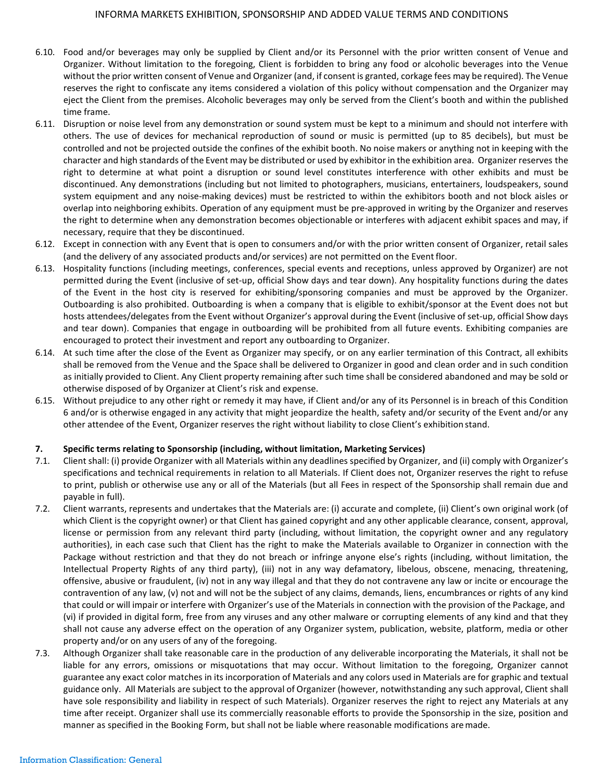- 6.10. Food and/or beverages may only be supplied by Client and/or its Personnel with the prior written consent of Venue and Organizer. Without limitation to the foregoing, Client is forbidden to bring any food or alcoholic beverages into the Venue without the prior written consent of Venue and Organizer (and, if consent is granted, corkage fees may be required). The Venue reserves the right to confiscate any items considered a violation of this policy without compensation and the Organizer may eject the Client from the premises. Alcoholic beverages may only be served from the Client's booth and within the published time frame.
- 6.11. Disruption or noise level from any demonstration or sound system must be kept to a minimum and should not interfere with others. The use of devices for mechanical reproduction of sound or music is permitted (up to 85 decibels), but must be controlled and not be projected outside the confines of the exhibit booth. No noise makers or anything not in keeping with the character and high standards of the Event may be distributed or used by exhibitor in the exhibition area. Organizer reserves the right to determine at what point a disruption or sound level constitutes interference with other exhibits and must be discontinued. Any demonstrations (including but not limited to photographers, musicians, entertainers, loudspeakers, sound system equipment and any noise-making devices) must be restricted to within the exhibitors booth and not block aisles or overlap into neighboring exhibits. Operation of any equipment must be pre-approved in writing by the Organizer and reserves the right to determine when any demonstration becomes objectionable or interferes with adjacent exhibit spaces and may, if necessary, require that they be discontinued.
- 6.12. Except in connection with any Event that is open to consumers and/or with the prior written consent of Organizer, retail sales (and the delivery of any associated products and/or services) are not permitted on the Event floor.
- 6.13. Hospitality functions (including meetings, conferences, special events and receptions, unless approved by Organizer) are not permitted during the Event (inclusive of set-up, official Show days and tear down). Any hospitality functions during the dates of the Event in the host city is reserved for exhibiting/sponsoring companies and must be approved by the Organizer. Outboarding is also prohibited. Outboarding is when a company that is eligible to exhibit/sponsor at the Event does not but hosts attendees/delegates from the Event without Organizer's approval during the Event (inclusive of set-up, official Show days and tear down). Companies that engage in outboarding will be prohibited from all future events. Exhibiting companies are encouraged to protect their investment and report any outboarding to Organizer.
- 6.14. At such time after the close of the Event as Organizer may specify, or on any earlier termination of this Contract, all exhibits shall be removed from the Venue and the Space shall be delivered to Organizer in good and clean order and in such condition as initially provided to Client. Any Client property remaining after such time shall be considered abandoned and may be sold or otherwise disposed of by Organizer at Client's risk and expense.
- 6.15. Without prejudice to any other right or remedy it may have, if Client and/or any of its Personnel is in breach of this Condition 6 and/or is otherwise engaged in any activity that might jeopardize the health, safety and/or security of the Event and/or any other attendee of the Event, Organizer reserves the right without liability to close Client's exhibition stand.

### **7. Specific terms relating to Sponsorship (including, without limitation, Marketing Services)**

- 7.1. Client shall: (i) provide Organizer with all Materials within any deadlines specified by Organizer, and (ii) comply with Organizer's specifications and technical requirements in relation to all Materials. If Client does not, Organizer reserves the right to refuse to print, publish or otherwise use any or all of the Materials (but all Fees in respect of the Sponsorship shall remain due and payable in full).
- 7.2. Client warrants, represents and undertakes that the Materials are: (i) accurate and complete, (ii) Client's own original work (of which Client is the copyright owner) or that Client has gained copyright and any other applicable clearance, consent, approval, license or permission from any relevant third party (including, without limitation, the copyright owner and any regulatory authorities), in each case such that Client has the right to make the Materials available to Organizer in connection with the Package without restriction and that they do not breach or infringe anyone else's rights (including, without limitation, the Intellectual Property Rights of any third party), (iii) not in any way defamatory, libelous, obscene, menacing, threatening, offensive, abusive or fraudulent, (iv) not in any way illegal and that they do not contravene any law or incite or encourage the contravention of any law, (v) not and will not be the subject of any claims, demands, liens, encumbrances or rights of any kind that could or will impair or interfere with Organizer's use of the Materials in connection with the provision of the Package, and (vi) if provided in digital form, free from any viruses and any other malware or corrupting elements of any kind and that they shall not cause any adverse effect on the operation of any Organizer system, publication, website, platform, media or other property and/or on any users of any of the foregoing.
- 7.3. Although Organizer shall take reasonable care in the production of any deliverable incorporating the Materials, it shall not be liable for any errors, omissions or misquotations that may occur. Without limitation to the foregoing, Organizer cannot guarantee any exact color matches in its incorporation of Materials and any colors used in Materials are for graphic and textual guidance only. All Materials are subject to the approval of Organizer (however, notwithstanding any such approval, Client shall have sole responsibility and liability in respect of such Materials). Organizer reserves the right to reject any Materials at any time after receipt. Organizer shall use its commercially reasonable efforts to provide the Sponsorship in the size, position and manner as specified in the Booking Form, but shall not be liable where reasonable modifications aremade.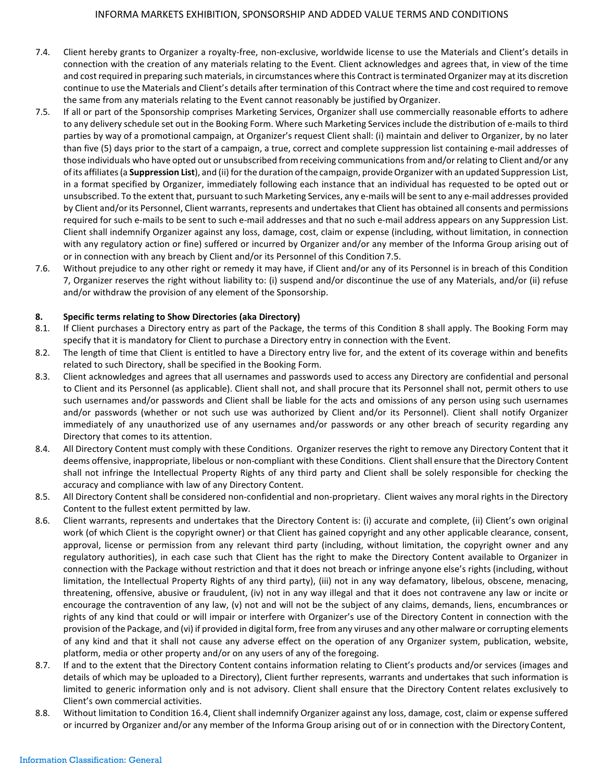- 7.4. Client hereby grants to Organizer a royalty-free, non-exclusive, worldwide license to use the Materials and Client's details in connection with the creation of any materials relating to the Event. Client acknowledges and agrees that, in view of the time and costrequired in preparing such materials, in circumstances where this Contract isterminated Organizer may at its discretion continue to use the Materials and Client's details after termination of this Contract where the time and cost required to remove the same from any materials relating to the Event cannot reasonably be justified by Organizer.
- 7.5. If all or part of the Sponsorship comprises Marketing Services, Organizer shall use commercially reasonable efforts to adhere to any delivery schedule set out in the Booking Form. Where such Marketing Services include the distribution of e-mails to third parties by way of a promotional campaign, at Organizer's request Client shall: (i) maintain and deliver to Organizer, by no later than five (5) days prior to the start of a campaign, a true, correct and complete suppression list containing e-mail addresses of those individuals who have opted out or unsubscribed from receiving communicationsfrom and/orrelating to Client and/or any of its affiliates (a **Suppression List**), and (ii) for the duration of the campaign, provide Organizer with an updated Suppression List, in a format specified by Organizer, immediately following each instance that an individual has requested to be opted out or unsubscribed. To the extent that, pursuant to such Marketing Services, any e-mails will be sent to any e-mail addresses provided by Client and/or its Personnel, Client warrants, represents and undertakes that Client has obtained all consents and permissions required for such e-mails to be sent to such e-mail addresses and that no such e-mail address appears on any Suppression List. Client shall indemnify Organizer against any loss, damage, cost, claim or expense (including, without limitation, in connection with any regulatory action or fine) suffered or incurred by Organizer and/or any member of the Informa Group arising out of or in connection with any breach by Client and/or its Personnel of this Condition 7.5.
- 7.6. Without prejudice to any other right or remedy it may have, if Client and/or any of its Personnel is in breach of this Condition 7, Organizer reserves the right without liability to: (i) suspend and/or discontinue the use of any Materials, and/or (ii) refuse and/or withdraw the provision of any element of the Sponsorship.

### **8. Specific terms relating to Show Directories (aka Directory)**

- 8.1. If Client purchases a Directory entry as part of the Package, the terms of this Condition 8 shall apply. The Booking Form may specify that it is mandatory for Client to purchase a Directory entry in connection with the Event.
- 8.2. The length of time that Client is entitled to have a Directory entry live for, and the extent of its coverage within and benefits related to such Directory, shall be specified in the Booking Form.
- 8.3. Client acknowledges and agrees that all usernames and passwords used to access any Directory are confidential and personal to Client and its Personnel (as applicable). Client shall not, and shall procure that its Personnel shall not, permit others to use such usernames and/or passwords and Client shall be liable for the acts and omissions of any person using such usernames and/or passwords (whether or not such use was authorized by Client and/or its Personnel). Client shall notify Organizer immediately of any unauthorized use of any usernames and/or passwords or any other breach of security regarding any Directory that comes to its attention.
- 8.4. All Directory Content must comply with these Conditions. Organizer reserves the right to remove any Directory Content that it deems offensive, inappropriate, libelous or non-compliant with these Conditions. Client shall ensure that the Directory Content shall not infringe the Intellectual Property Rights of any third party and Client shall be solely responsible for checking the accuracy and compliance with law of any Directory Content.
- 8.5. All Directory Content shall be considered non-confidential and non-proprietary. Client waives any moral rights in the Directory Content to the fullest extent permitted by law.
- 8.6. Client warrants, represents and undertakes that the Directory Content is: (i) accurate and complete, (ii) Client's own original work (of which Client is the copyright owner) or that Client has gained copyright and any other applicable clearance, consent, approval, license or permission from any relevant third party (including, without limitation, the copyright owner and any regulatory authorities), in each case such that Client has the right to make the Directory Content available to Organizer in connection with the Package without restriction and that it does not breach or infringe anyone else's rights (including, without limitation, the Intellectual Property Rights of any third party), (iii) not in any way defamatory, libelous, obscene, menacing, threatening, offensive, abusive or fraudulent, (iv) not in any way illegal and that it does not contravene any law or incite or encourage the contravention of any law, (v) not and will not be the subject of any claims, demands, liens, encumbrances or rights of any kind that could or will impair or interfere with Organizer's use of the Directory Content in connection with the provision ofthe Package, and (vi) if provided in digital form, free from any viruses and any other malware or corrupting elements of any kind and that it shall not cause any adverse effect on the operation of any Organizer system, publication, website, platform, media or other property and/or on any users of any of the foregoing.
- 8.7. If and to the extent that the Directory Content contains information relating to Client's products and/or services (images and details of which may be uploaded to a Directory), Client further represents, warrants and undertakes that such information is limited to generic information only and is not advisory. Client shall ensure that the Directory Content relates exclusively to Client's own commercial activities.
- 8.8. Without limitation to Condition 16.4, Client shall indemnify Organizer against any loss, damage, cost, claim or expense suffered or incurred by Organizer and/or any member of the Informa Group arising out of or in connection with the Directory Content,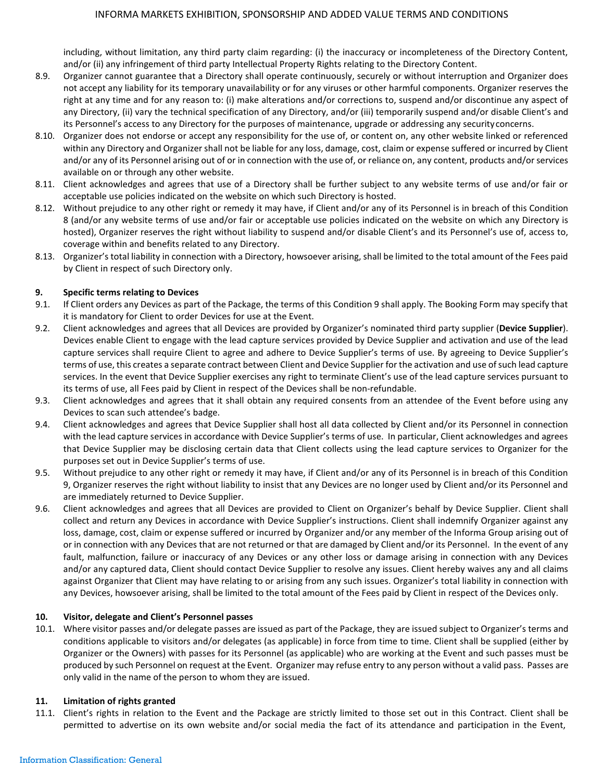including, without limitation, any third party claim regarding: (i) the inaccuracy or incompleteness of the Directory Content, and/or (ii) any infringement of third party Intellectual Property Rights relating to the Directory Content.

- 8.9. Organizer cannot guarantee that a Directory shall operate continuously, securely or without interruption and Organizer does not accept any liability for its temporary unavailability or for any viruses or other harmful components. Organizer reserves the right at any time and for any reason to: (i) make alterations and/or corrections to, suspend and/or discontinue any aspect of any Directory, (ii) vary the technical specification of any Directory, and/or (iii) temporarily suspend and/or disable Client's and its Personnel's access to any Directory for the purposes of maintenance, upgrade or addressing any securityconcerns.
- 8.10. Organizer does not endorse or accept any responsibility for the use of, or content on, any other website linked or referenced within any Directory and Organizershall not be liable for any loss, damage, cost, claim or expense suffered or incurred by Client and/or any of its Personnel arising out of or in connection with the use of, or reliance on, any content, products and/orservices available on or through any other website.
- 8.11. Client acknowledges and agrees that use of a Directory shall be further subject to any website terms of use and/or fair or acceptable use policies indicated on the website on which such Directory is hosted.
- 8.12. Without prejudice to any other right or remedy it may have, if Client and/or any of its Personnel is in breach of this Condition 8 (and/or any website terms of use and/or fair or acceptable use policies indicated on the website on which any Directory is hosted), Organizer reserves the right without liability to suspend and/or disable Client's and its Personnel's use of, access to, coverage within and benefits related to any Directory.
- 8.13. Organizer's total liability in connection with a Directory, howsoever arising, shall be limited to the total amount of the Fees paid by Client in respect of such Directory only.

# **9. Specific terms relating to Devices**

- 9.1. If Client orders any Devices as part of the Package, the terms of this Condition 9 shall apply. The Booking Form may specify that it is mandatory for Client to order Devices for use at the Event.
- 9.2. Client acknowledges and agrees that all Devices are provided by Organizer's nominated third party supplier (**Device Supplier**). Devices enable Client to engage with the lead capture services provided by Device Supplier and activation and use of the lead capture services shall require Client to agree and adhere to Device Supplier's terms of use. By agreeing to Device Supplier's terms of use, this creates a separate contract between Client and Device Supplier for the activation and use ofsuch lead capture services. In the event that Device Supplier exercises any right to terminate Client's use of the lead capture services pursuant to its terms of use, all Fees paid by Client in respect of the Devices shall be non-refundable.
- 9.3. Client acknowledges and agrees that it shall obtain any required consents from an attendee of the Event before using any Devices to scan such attendee's badge.
- 9.4. Client acknowledges and agrees that Device Supplier shall host all data collected by Client and/or its Personnel in connection with the lead capture services in accordance with Device Supplier's terms of use. In particular, Client acknowledges and agrees that Device Supplier may be disclosing certain data that Client collects using the lead capture services to Organizer for the purposes set out in Device Supplier's terms of use.
- 9.5. Without prejudice to any other right or remedy it may have, if Client and/or any of its Personnel is in breach of this Condition 9, Organizer reserves the right without liability to insist that any Devices are no longer used by Client and/or its Personnel and are immediately returned to Device Supplier.
- 9.6. Client acknowledges and agrees that all Devices are provided to Client on Organizer's behalf by Device Supplier. Client shall collect and return any Devices in accordance with Device Supplier's instructions. Client shall indemnify Organizer against any loss, damage, cost, claim or expense suffered or incurred by Organizer and/or any member of the Informa Group arising out of or in connection with any Devices that are not returned or that are damaged by Client and/or its Personnel. In the event of any fault, malfunction, failure or inaccuracy of any Devices or any other loss or damage arising in connection with any Devices and/or any captured data, Client should contact Device Supplier to resolve any issues. Client hereby waives any and all claims against Organizer that Client may have relating to or arising from any such issues. Organizer's total liability in connection with any Devices, howsoever arising, shall be limited to the total amount of the Fees paid by Client in respect of the Devices only.

### **10. Visitor, delegate and Client's Personnel passes**

10.1. Where visitor passes and/or delegate passes are issued as part of the Package, they are issued subject to Organizer's terms and conditions applicable to visitors and/or delegates (as applicable) in force from time to time. Client shall be supplied (either by Organizer or the Owners) with passes for its Personnel (as applicable) who are working at the Event and such passes must be produced by such Personnel on request at the Event. Organizer may refuse entry to any person without a valid pass. Passes are only valid in the name of the person to whom they are issued.

### **11. Limitation of rights granted**

11.1. Client's rights in relation to the Event and the Package are strictly limited to those set out in this Contract. Client shall be permitted to advertise on its own website and/or social media the fact of its attendance and participation in the Event,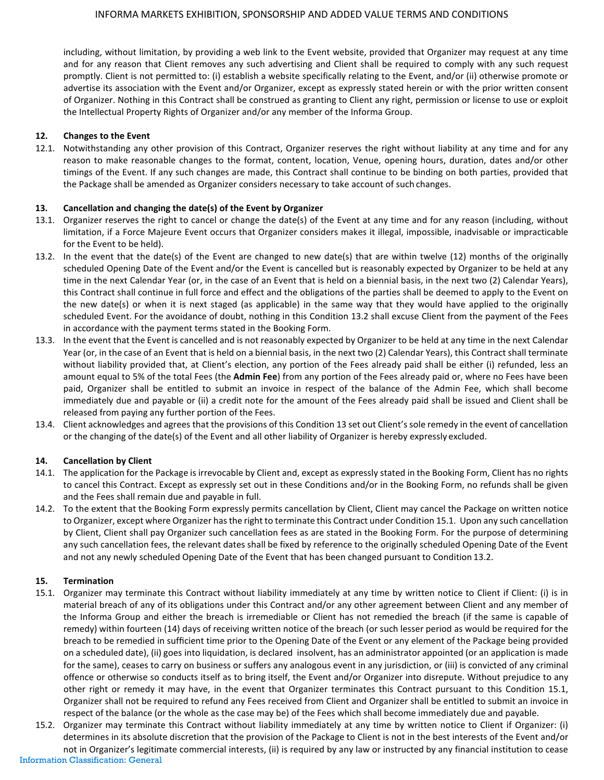including, without limitation, by providing a web link to the Event website, provided that Organizer may request at any time and for any reason that Client removes any such advertising and Client shall be required to comply with any such request promptly. Client is not permitted to: (i) establish a website specifically relating to the Event, and/or (ii) otherwise promote or advertise its association with the Event and/or Organizer, except as expressly stated herein or with the prior written consent of Organizer. Nothing in this Contract shall be construed as granting to Client any right, permission or license to use or exploit the Intellectual Property Rights of Organizer and/or any member of the Informa Group.

### **12. Changes to the Event**

12.1. Notwithstanding any other provision of this Contract, Organizer reserves the right without liability at any time and for any reason to make reasonable changes to the format, content, location, Venue, opening hours, duration, dates and/or other timings of the Event. If any such changes are made, this Contract shall continue to be binding on both parties, provided that the Package shall be amended as Organizer considers necessary to take account of such changes.

# **13. Cancellation and changing the date(s) of the Event by Organizer**

- 13.1. Organizer reserves the right to cancel or change the date(s) of the Event at any time and for any reason (including, without limitation, if a Force Majeure Event occurs that Organizer considers makes it illegal, impossible, inadvisable or impracticable for the Event to be held).
- 13.2. In the event that the date(s) of the Event are changed to new date(s) that are within twelve (12) months of the originally scheduled Opening Date of the Event and/or the Event is cancelled but is reasonably expected by Organizer to be held at any time in the next Calendar Year (or, in the case of an Event that is held on a biennial basis, in the next two (2) Calendar Years), this Contract shall continue in full force and effect and the obligations of the parties shall be deemed to apply to the Event on the new date(s) or when it is next staged (as applicable) in the same way that they would have applied to the originally scheduled Event. For the avoidance of doubt, nothing in this Condition 13.2 shall excuse Client from the payment of the Fees in accordance with the payment terms stated in the Booking Form.
- 13.3. In the event that the Event is cancelled and is not reasonably expected by Organizer to be held at any time in the next Calendar Year (or, in the case of an Event that is held on a biennial basis, in the next two (2) Calendar Years), this Contract shall terminate without liability provided that, at Client's election, any portion of the Fees already paid shall be either (i) refunded, less an amount equal to 5% of the total Fees (the **Admin Fee**) from any portion of the Fees already paid or, where no Fees have been paid, Organizer shall be entitled to submit an invoice in respect of the balance of the Admin Fee, which shall become immediately due and payable or (ii) a credit note for the amount of the Fees already paid shall be issued and Client shall be released from paying any further portion of the Fees.
- 13.4. Client acknowledges and agrees that the provisions of this Condition 13 set out Client's sole remedy in the event of cancellation or the changing of the date(s) of the Event and all other liability of Organizer is hereby expressly excluded.

### **14. Cancellation by Client**

- 14.1. The application for the Package is irrevocable by Client and, except as expressly stated in the Booking Form, Client has no rights to cancel this Contract. Except as expressly set out in these Conditions and/or in the Booking Form, no refunds shall be given and the Fees shall remain due and payable in full.
- 14.2. To the extent that the Booking Form expressly permits cancellation by Client, Client may cancel the Package on written notice to Organizer, except where Organizer hasthe right to terminate this Contract under Condition 15.1. Upon any such cancellation by Client, Client shall pay Organizer such cancellation fees as are stated in the Booking Form. For the purpose of determining any such cancellation fees, the relevant dates shall be fixed by reference to the originally scheduled Opening Date of the Event and not any newly scheduled Opening Date of the Event that has been changed pursuant to Condition 13.2.

### **15. Termination**

- 15.1. Organizer may terminate this Contract without liability immediately at any time by written notice to Client if Client: (i) is in material breach of any of its obligations under this Contract and/or any other agreement between Client and any member of the Informa Group and either the breach is irremediable or Client has not remedied the breach (if the same is capable of remedy) within fourteen (14) days of receiving written notice of the breach (or such lesser period as would be required for the breach to be remedied in sufficient time prior to the Opening Date of the Event or any element of the Package being provided on a scheduled date), (ii) goes into liquidation, is declared insolvent, has an administrator appointed (or an application is made for the same), ceases to carry on business or suffers any analogous event in any jurisdiction, or (iii) is convicted of any criminal offence or otherwise so conducts itself as to bring itself, the Event and/or Organizer into disrepute. Without prejudice to any other right or remedy it may have, in the event that Organizer terminates this Contract pursuant to this Condition 15.1, Organizer shall not be required to refund any Fees received from Client and Organizer shall be entitled to submit an invoice in respect of the balance (or the whole as the case may be) of the Fees which shall become immediately due and payable.
- Information Classification: General 15.2. Organizer may terminate this Contract without liability immediately at any time by written notice to Client if Organizer: (i) determines in its absolute discretion that the provision of the Package to Client is not in the best interests of the Event and/or not in Organizer's legitimate commercial interests, (ii) is required by any law or instructed by any financial institution to cease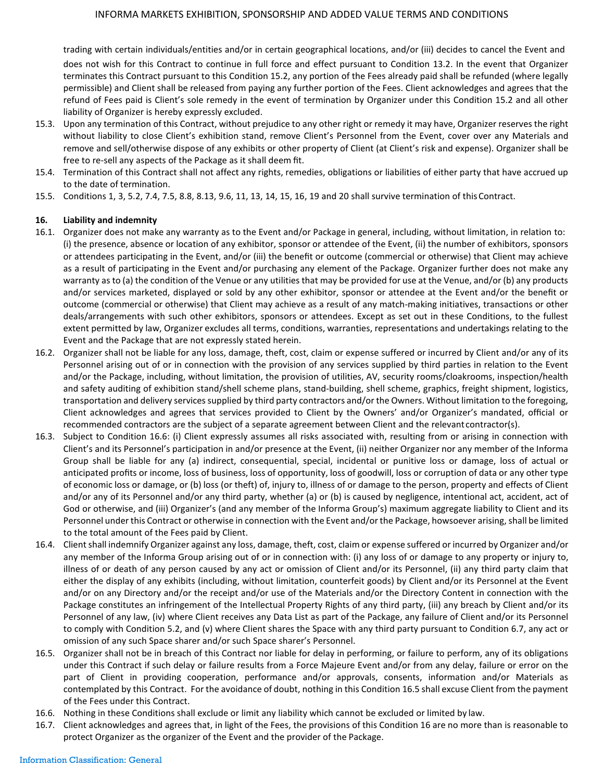trading with certain individuals/entities and/or in certain geographical locations, and/or (iii) decides to cancel the Event and does not wish for this Contract to continue in full force and effect pursuant to Condition 13.2. In the event that Organizer terminates this Contract pursuant to this Condition 15.2, any portion of the Fees already paid shall be refunded (where legally permissible) and Client shall be released from paying any further portion of the Fees. Client acknowledges and agrees that the refund of Fees paid is Client's sole remedy in the event of termination by Organizer under this Condition 15.2 and all other liability of Organizer is hereby expressly excluded.

- 15.3. Upon any termination of this Contract, without prejudice to any other right or remedy it may have, Organizer reserves the right without liability to close Client's exhibition stand, remove Client's Personnel from the Event, cover over any Materials and remove and sell/otherwise dispose of any exhibits or other property of Client (at Client's risk and expense). Organizer shall be free to re-sell any aspects of the Package as it shall deem fit.
- 15.4. Termination of this Contract shall not affect any rights, remedies, obligations or liabilities of either party that have accrued up to the date of termination.
- 15.5. Conditions 1, 3, 5.2, 7.4, 7.5, 8.8, 8.13, 9.6, 11, 13, 14, 15, 16, 19 and 20 shall survive termination of thisContract.

### **16. Liability and indemnity**

- 16.1. Organizer does not make any warranty as to the Event and/or Package in general, including, without limitation, in relation to: (i) the presence, absence or location of any exhibitor, sponsor or attendee of the Event, (ii) the number of exhibitors, sponsors or attendees participating in the Event, and/or (iii) the benefit or outcome (commercial or otherwise) that Client may achieve as a result of participating in the Event and/or purchasing any element of the Package. Organizer further does not make any warranty as to (a) the condition of the Venue or any utilities that may be provided for use at the Venue, and/or (b) any products and/or services marketed, displayed or sold by any other exhibitor, sponsor or attendee at the Event and/or the benefit or outcome (commercial or otherwise) that Client may achieve as a result of any match-making initiatives, transactions or other deals/arrangements with such other exhibitors, sponsors or attendees. Except as set out in these Conditions, to the fullest extent permitted by law, Organizer excludes all terms, conditions, warranties, representations and undertakings relating to the Event and the Package that are not expressly stated herein.
- 16.2. Organizer shall not be liable for any loss, damage, theft, cost, claim or expense suffered or incurred by Client and/or any of its Personnel arising out of or in connection with the provision of any services supplied by third parties in relation to the Event and/or the Package, including, without limitation, the provision of utilities, AV, security rooms/cloakrooms, inspection/health and safety auditing of exhibition stand/shell scheme plans, stand-building, shell scheme, graphics, freight shipment, logistics, transportation and delivery services supplied by third party contractors and/or the Owners. Without limitation to the foregoing, Client acknowledges and agrees that services provided to Client by the Owners' and/or Organizer's mandated, official or recommended contractors are the subject of a separate agreement between Client and the relevant contractor(s).
- 16.3. Subject to Condition 16.6: (i) Client expressly assumes all risks associated with, resulting from or arising in connection with Client's and its Personnel's participation in and/or presence at the Event, (ii) neither Organizer nor any member of the Informa Group shall be liable for any (a) indirect, consequential, special, incidental or punitive loss or damage, loss of actual or anticipated profits or income, loss of business, loss of opportunity, loss of goodwill, loss or corruption of data or any other type of economic loss or damage, or (b) loss (or theft) of, injury to, illness of or damage to the person, property and effects of Client and/or any of its Personnel and/or any third party, whether (a) or (b) is caused by negligence, intentional act, accident, act of God or otherwise, and (iii) Organizer's (and any member of the Informa Group's) maximum aggregate liability to Client and its Personnel under this Contract or otherwise in connection with the Event and/or the Package, howsoever arising, shall be limited to the total amount of the Fees paid by Client.
- 16.4. Client shall indemnify Organizer against any loss, damage, theft, cost, claim or expense suffered or incurred by Organizer and/or any member of the Informa Group arising out of or in connection with: (i) any loss of or damage to any property or injury to, illness of or death of any person caused by any act or omission of Client and/or its Personnel, (ii) any third party claim that either the display of any exhibits (including, without limitation, counterfeit goods) by Client and/or its Personnel at the Event and/or on any Directory and/or the receipt and/or use of the Materials and/or the Directory Content in connection with the Package constitutes an infringement of the Intellectual Property Rights of any third party, (iii) any breach by Client and/or its Personnel of any law, (iv) where Client receives any Data List as part of the Package, any failure of Client and/or its Personnel to comply with Condition 5.2, and (v) where Client shares the Space with any third party pursuant to Condition 6.7, any act or omission of any such Space sharer and/or such Space sharer's Personnel.
- 16.5. Organizer shall not be in breach of this Contract nor liable for delay in performing, or failure to perform, any of its obligations under this Contract if such delay or failure results from a Force Majeure Event and/or from any delay, failure or error on the part of Client in providing cooperation, performance and/or approvals, consents, information and/or Materials as contemplated by this Contract. For the avoidance of doubt, nothing in this Condition 16.5 shall excuse Client from the payment of the Fees under this Contract.
- 16.6. Nothing in these Conditions shall exclude or limit any liability which cannot be excluded or limited by law.
- 16.7. Client acknowledges and agrees that, in light of the Fees, the provisions of this Condition 16 are no more than is reasonable to protect Organizer as the organizer of the Event and the provider of the Package.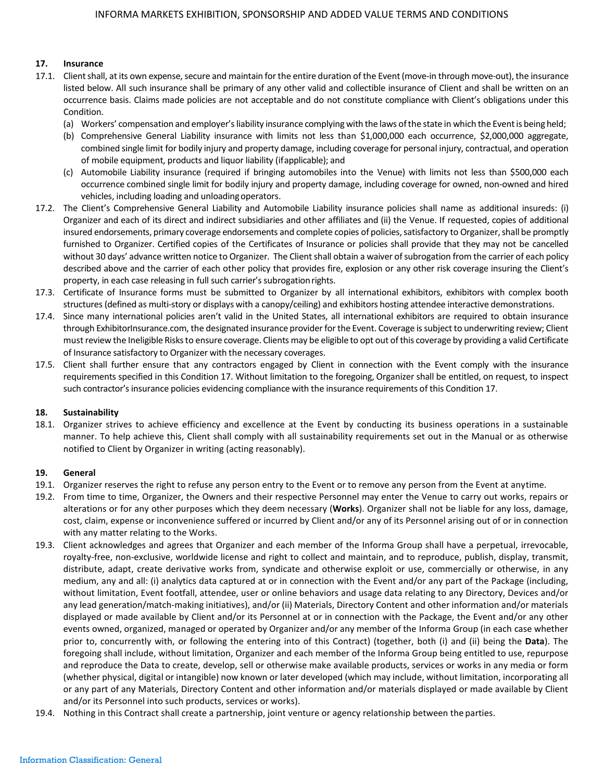### **17. Insurance**

- 17.1. Client shall, at its own expense, secure and maintain for the entire duration of the Event (move-in through move-out), the insurance listed below. All such insurance shall be primary of any other valid and collectible insurance of Client and shall be written on an occurrence basis. Claims made policies are not acceptable and do not constitute compliance with Client's obligations under this Condition.
	- (a) Workers' compensation and employer'sliability insurance complying with the laws ofthe state in which the Eventis being held;
	- (b) Comprehensive General Liability insurance with limits not less than \$1,000,000 each occurrence, \$2,000,000 aggregate, combined single limit for bodily injury and property damage, including coverage for personal injury, contractual, and operation of mobile equipment, products and liquor liability (ifapplicable); and
	- (c) Automobile Liability insurance (required if bringing automobiles into the Venue) with limits not less than \$500,000 each occurrence combined single limit for bodily injury and property damage, including coverage for owned, non-owned and hired vehicles, including loading and unloadingoperators.
- 17.2. The Client's Comprehensive General Liability and Automobile Liability insurance policies shall name as additional insureds: (i) Organizer and each of its direct and indirect subsidiaries and other affiliates and (ii) the Venue. If requested, copies of additional insured endorsements, primary coverage endorsements and complete copies of policies, satisfactory to Organizer, shall be promptly furnished to Organizer. Certified copies of the Certificates of Insurance or policies shall provide that they may not be cancelled without 30 days' advance written notice to Organizer. The Client shall obtain a waiver of subrogation from the carrier of each policy described above and the carrier of each other policy that provides fire, explosion or any other risk coverage insuring the Client's property, in each case releasing in full such carrier's subrogationrights.
- 17.3. Certificate of Insurance forms must be submitted to Organizer by all international exhibitors, exhibitors with complex booth structures (defined as multi-story or displays with a canopy/ceiling) and exhibitors hosting attendee interactive demonstrations.
- 17.4. Since many international policies aren't valid in the United States, all international exhibitors are required to obtain insurance through ExhibitorInsurance.com, the designated insurance provider for the Event. Coverage is subject to underwriting review; Client mustreview the Ineligible Risksto ensure coverage. Clients may be eligible to opt out ofthis coverage by providing a valid Certificate of Insurance satisfactory to Organizer with the necessary coverages.
- 17.5. Client shall further ensure that any contractors engaged by Client in connection with the Event comply with the insurance requirements specified in this Condition 17. Without limitation to the foregoing, Organizer shall be entitled, on request, to inspect such contractor's insurance policies evidencing compliance with the insurance requirements of this Condition 17.

### **18. Sustainability**

18.1. Organizer strives to achieve efficiency and excellence at the Event by conducting its business operations in a sustainable manner. To help achieve this, Client shall comply with all sustainability requirements set out in the Manual or as otherwise notified to Client by Organizer in writing (acting reasonably).

### **19. General**

- 19.1. Organizer reserves the right to refuse any person entry to the Event or to remove any person from the Event at anytime.
- 19.2. From time to time, Organizer, the Owners and their respective Personnel may enter the Venue to carry out works, repairs or alterations or for any other purposes which they deem necessary (**Works**). Organizer shall not be liable for any loss, damage, cost, claim, expense or inconvenience suffered or incurred by Client and/or any of its Personnel arising out of or in connection with any matter relating to the Works.
- 19.3. Client acknowledges and agrees that Organizer and each member of the Informa Group shall have a perpetual, irrevocable, royalty-free, non-exclusive, worldwide license and right to collect and maintain, and to reproduce, publish, display, transmit, distribute, adapt, create derivative works from, syndicate and otherwise exploit or use, commercially or otherwise, in any medium, any and all: (i) analytics data captured at or in connection with the Event and/or any part of the Package (including, without limitation, Event footfall, attendee, user or online behaviors and usage data relating to any Directory, Devices and/or any lead generation/match-making initiatives), and/or (ii) Materials, Directory Content and other information and/or materials displayed or made available by Client and/or its Personnel at or in connection with the Package, the Event and/or any other events owned, organized, managed or operated by Organizer and/or any member of the Informa Group (in each case whether prior to, concurrently with, or following the entering into of this Contract) (together, both (i) and (ii) being the **Data**). The foregoing shall include, without limitation, Organizer and each member of the Informa Group being entitled to use, repurpose and reproduce the Data to create, develop, sell or otherwise make available products, services or works in any media or form (whether physical, digital or intangible) now known or later developed (which may include, without limitation, incorporating all or any part of any Materials, Directory Content and other information and/or materials displayed or made available by Client and/or its Personnel into such products, services or works).
- 19.4. Nothing in this Contract shall create a partnership, joint venture or agency relationship between the parties.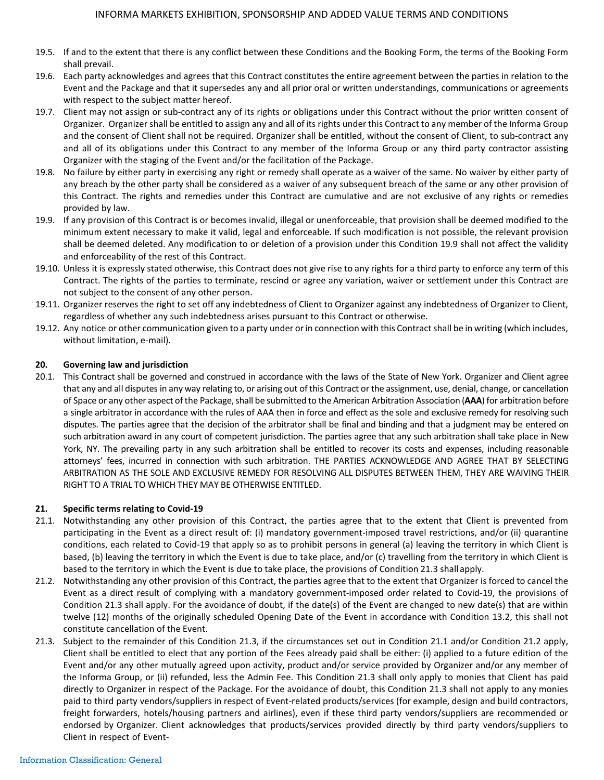- 19.5. If and to the extent that there is any conflict between these Conditions and the Booking Form, the terms of the Booking Form shall prevail.
- 19.6. Each party acknowledges and agrees that this Contract constitutes the entire agreement between the parties in relation to the Event and the Package and that it supersedes any and all prior oral or written understandings, communications or agreements with respect to the subject matter hereof.
- 19.7. Client may not assign or sub-contract any of its rights or obligations under this Contract without the prior written consent of Organizer. Organizershall be entitled to assign any and all of its rights under this Contract to any member of the Informa Group and the consent of Client shall not be required. Organizer shall be entitled, without the consent of Client, to sub-contract any and all of its obligations under this Contract to any member of the Informa Group or any third party contractor assisting Organizer with the staging of the Event and/or the facilitation of the Package.
- 19.8. No failure by either party in exercising any right or remedy shall operate as a waiver of the same. No waiver by either party of any breach by the other party shall be considered as a waiver of any subsequent breach of the same or any other provision of this Contract. The rights and remedies under this Contract are cumulative and are not exclusive of any rights or remedies provided by law.
- 19.9. If any provision of this Contract is or becomes invalid, illegal or unenforceable, that provision shall be deemed modified to the minimum extent necessary to make it valid, legal and enforceable. If such modification is not possible, the relevant provision shall be deemed deleted. Any modification to or deletion of a provision under this Condition 19.9 shall not affect the validity and enforceability of the rest of this Contract.
- 19.10. Unless it is expressly stated otherwise, this Contract does not give rise to any rights for a third party to enforce any term of this Contract. The rights of the parties to terminate, rescind or agree any variation, waiver or settlement under this Contract are not subject to the consent of any other person.
- 19.11. Organizer reserves the right to set off any indebtedness of Client to Organizer against any indebtedness of Organizer to Client, regardless of whether any such indebtedness arises pursuant to this Contract or otherwise.
- 19.12. Any notice or other communication given to a party under orin connection with this Contractshall be in writing (which includes, without limitation, e-mail).

### **20. Governing law and jurisdiction**

20.1. This Contract shall be governed and construed in accordance with the laws of the State of New York. Organizer and Client agree that any and all disputes in any way relating to, or arising out of this Contract or the assignment, use, denial, change, or cancellation of Space or any other aspect of the Package, shall be submitted to the American Arbitration Association (AAA) for arbitration before a single arbitrator in accordance with the rules of AAA then in force and effect as the sole and exclusive remedy for resolving such disputes. The parties agree that the decision of the arbitrator shall be final and binding and that a judgment may be entered on such arbitration award in any court of competent jurisdiction. The parties agree that any such arbitration shall take place in New York, NY. The prevailing party in any such arbitration shall be entitled to recover its costs and expenses, including reasonable attorneys' fees, incurred in connection with such arbitration. THE PARTIES ACKNOWLEDGE AND AGREE THAT BY SELECTING ARBITRATION AS THE SOLE AND EXCLUSIVE REMEDY FOR RESOLVING ALL DISPUTES BETWEEN THEM, THEY ARE WAIVING THEIR RIGHT TO A TRIAL TO WHICH THEY MAY BE OTHERWISE ENTITLED.

# **21. Specific terms relating to Covid-19**

- 21.1. Notwithstanding any other provision of this Contract, the parties agree that to the extent that Client is prevented from participating in the Event as a direct result of: (i) mandatory government-imposed travel restrictions, and/or (ii) quarantine conditions, each related to Covid-19 that apply so as to prohibit persons in general (a) leaving the territory in which Client is based, (b) leaving the territory in which the Event is due to take place, and/or (c) travelling from the territory in which Client is based to the territory in which the Event is due to take place, the provisions of Condition 21.3 shall apply.
- 21.2. Notwithstanding any other provision of this Contract, the parties agree that to the extent that Organizer is forced to cancel the Event as a direct result of complying with a mandatory government-imposed order related to Covid-19, the provisions of Condition 21.3 shall apply. For the avoidance of doubt, if the date(s) of the Event are changed to new date(s) that are within twelve (12) months of the originally scheduled Opening Date of the Event in accordance with Condition 13.2, this shall not constitute cancellation of the Event.
- 21.3. Subject to the remainder of this Condition 21.3, if the circumstances set out in Condition 21.1 and/or Condition 21.2 apply, Client shall be entitled to elect that any portion of the Fees already paid shall be either: (i) applied to a future edition of the Event and/or any other mutually agreed upon activity, product and/or service provided by Organizer and/or any member of the Informa Group, or (ii) refunded, less the Admin Fee. This Condition 21.3 shall only apply to monies that Client has paid directly to Organizer in respect of the Package. For the avoidance of doubt, this Condition 21.3 shall not apply to any monies paid to third party vendors/suppliers in respect of Event-related products/services (for example, design and build contractors, freight forwarders, hotels/housing partners and airlines), even if these third party vendors/suppliers are recommended or endorsed by Organizer. Client acknowledges that products/services provided directly by third party vendors/suppliers to Client in respect of Event-